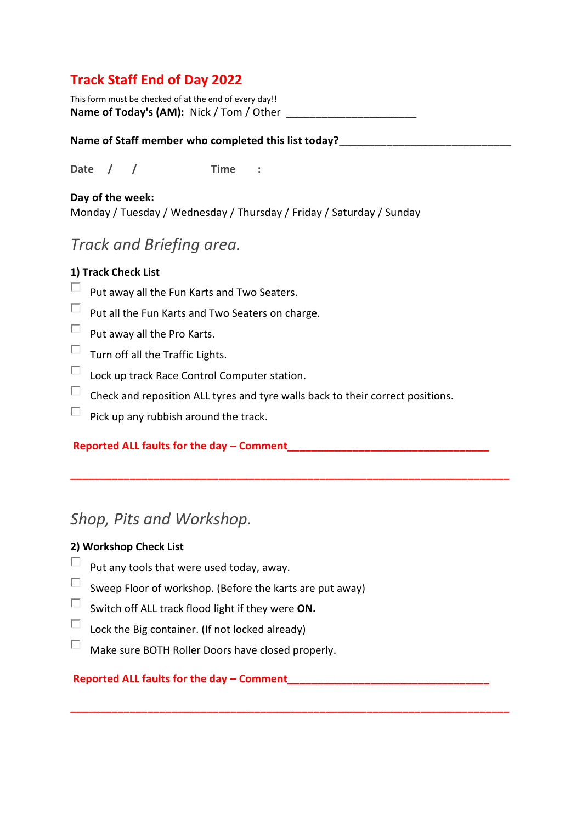# **Track Staff End of Day 2022**

This form must be checked of at the end of every day!! **Name of Today's (AM):** Nick / Tom / Other

#### Name of Staff member who completed this list today?

**Date / / Time :**

#### **Day of the week:**

Monday / Tuesday / Wednesday / Thursday / Friday / Saturday / Sunday

# *Track and Briefing area.*

### **1) Track Check List**

- П. Put away all the Fun Karts and Two Seaters.
- П. Put all the Fun Karts and Two Seaters on charge.
- $\Box$ Put away all the Pro Karts.
- $\Box$  Turn off all the Traffic Lights.
- $\Box$ Lock up track Race Control Computer station.
- $\Box$ Check and reposition ALL tyres and tyre walls back to their correct positions.

**\_\_\_\_\_\_\_\_\_\_\_\_\_\_\_\_\_\_\_\_\_\_\_\_\_\_\_\_\_\_\_\_\_\_\_\_\_\_\_\_\_\_\_\_\_\_\_\_\_\_\_\_\_\_\_\_\_\_\_\_\_\_\_\_\_\_\_\_\_\_\_\_\_\_**

**\_\_\_\_\_\_\_\_\_\_\_\_\_\_\_\_\_\_\_\_\_\_\_\_\_\_\_\_\_\_\_\_\_\_\_\_\_\_\_\_\_\_\_\_\_\_\_\_\_\_\_\_\_\_\_\_\_\_\_\_\_\_\_\_\_\_\_\_\_\_\_\_\_\_**

 $\Box$ Pick up any rubbish around the track.

### **Reported ALL faults for the day – Comment\_\_\_\_\_\_\_\_\_\_\_\_\_\_\_\_\_\_\_\_\_\_\_\_\_\_\_\_\_\_\_\_\_\_**

# *Shop, Pits and Workshop.*

### **2) Workshop Check List**

- П Put any tools that were used today, away.
- П. Sweep Floor of workshop. (Before the karts are put away)
- $\Box$ Switch off ALL track flood light if they were **ON.**
- $\Box$ Lock the Big container. (If not locked already)
- $\Box$ Make sure BOTH Roller Doors have closed properly.

## **Reported ALL faults for the day – Comment\_\_\_\_\_\_\_\_\_\_\_\_\_\_\_\_\_\_\_\_\_\_\_\_\_\_\_\_\_\_\_\_\_\_**